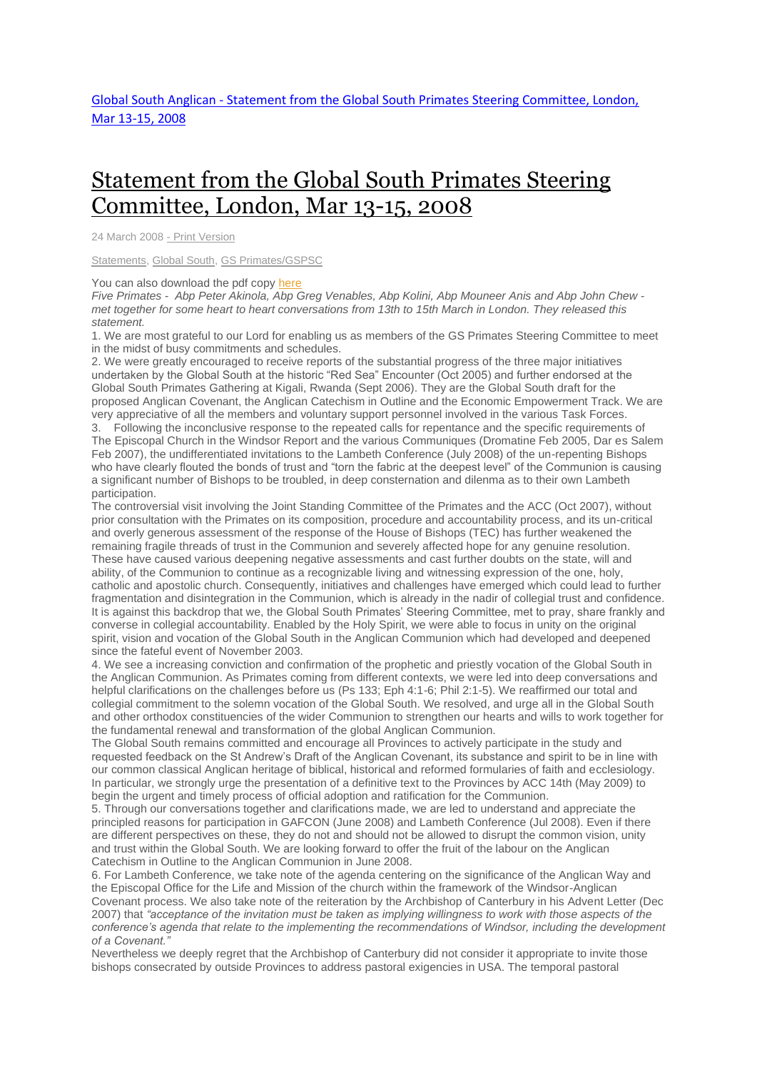## [Statement](http://www.globalsouthanglican.org/index.php/blog/comments/statement_from_the_global_south_primates_steering_committee_london_mar_2008) from the Global South Primates Steering [Committee,](http://www.globalsouthanglican.org/index.php/blog/comments/statement_from_the_global_south_primates_steering_committee_london_mar_2008) London, Mar 13-15, 2008

24 March 2008 - Print [Version](http://globalsouthanglican.org/index.php/blog/printing/statement_from_the_global_south_primates_steering_committee_london_mar_2008)

[Statements,](http://globalsouthanglican.org/index.php/archives/category/statements) [Global](http://globalsouthanglican.org/index.php/archives/category/global_south) South, GS [Primates/GSPSC](http://globalsouthanglican.org/index.php/archives/category/gs_primates_gspsc)

You can also download the pdf copy [here](http://www.globalsouthanglican.org/sse/GS-PSC_March_2008_Statement.pdf)

Five Primates - Abp Peter Akinola, Abp Greg Venables, Abp Kolini, Abp Mouneer Anis and Abp John Chew met together for some heart to heart conversations from 13th to 15th March in London. They released this *statement.*

1. We are most grateful to our Lord for enabling us as members of the GS Primates Steering Committee to meet in the midst of busy commitments and schedules.

2. We were greatly encouraged to receive reports of the substantial progress of the three major initiatives undertaken by the Global South at the historic "Red Sea" Encounter (Oct 2005) and further endorsed at the Global South Primates Gathering at Kigali, Rwanda (Sept 2006). They are the Global South draft for the proposed Anglican Covenant, the Anglican Catechism in Outline and the Economic Empowerment Track. We are very appreciative of all the members and voluntary support personnel involved in the various Task Forces.

3. Following the inconclusive response to the repeated calls for repentance and the specific requirements of The Episcopal Church in the Windsor Report and the various Communiques (Dromatine Feb 2005, Dar es Salem Feb 2007), the undifferentiated invitations to the Lambeth Conference (July 2008) of the un-repenting Bishops who have clearly flouted the bonds of trust and "torn the fabric at the deepest level" of the Communion is causing a significant number of Bishops to be troubled, in deep consternation and dilenma as to their own Lambeth participation.

The controversial visit involving the Joint Standing Committee of the Primates and the ACC (Oct 2007), without prior consultation with the Primates on its composition, procedure and accountability process, and its un-critical and overly generous assessment of the response of the House of Bishops (TEC) has further weakened the remaining fragile threads of trust in the Communion and severely affected hope for any genuine resolution. These have caused various deepening negative assessments and cast further doubts on the state, will and ability, of the Communion to continue as a recognizable living and witnessing expression of the one, holy, catholic and apostolic church. Consequently, initiatives and challenges have emerged which could lead to further fragmentation and disintegration in the Communion, which is already in the nadir of collegial trust and confidence. It is against this backdrop that we, the Global South Primates' Steering Committee, met to pray, share frankly and converse in collegial accountability. Enabled by the Holy Spirit, we were able to focus in unity on the original spirit, vision and vocation of the Global South in the Anglican Communion which had developed and deepened since the fateful event of November 2003.

4. We see a increasing conviction and confirmation of the prophetic and priestly vocation of the Global South in the Anglican Communion. As Primates coming from different contexts, we were led into deep conversations and helpful clarifications on the challenges before us (Ps 133; Eph 4:1-6; Phil 2:1-5). We reaffirmed our total and collegial commitment to the solemn vocation of the Global South. We resolved, and urge all in the Global South and other orthodox constituencies of the wider Communion to strengthen our hearts and wills to work together for the fundamental renewal and transformation of the global Anglican Communion.

The Global South remains committed and encourage all Provinces to actively participate in the study and requested feedback on the St Andrew's Draft of the Anglican Covenant, its substance and spirit to be in line with our common classical Anglican heritage of biblical, historical and reformed formularies of faith and ecclesiology. In particular, we strongly urge the presentation of a definitive text to the Provinces by ACC 14th (May 2009) to begin the urgent and timely process of official adoption and ratification for the Communion.

5. Through our conversations together and clarifications made, we are led to understand and appreciate the principled reasons for participation in GAFCON (June 2008) and Lambeth Conference (Jul 2008). Even if there are different perspectives on these, they do not and should not be allowed to disrupt the common vision, unity and trust within the Global South. We are looking forward to offer the fruit of the labour on the Anglican Catechism in Outline to the Anglican Communion in June 2008.

6. For Lambeth Conference, we take note of the agenda centering on the significance of the Anglican Way and the Episcopal Office for the Life and Mission of the church within the framework of the Windsor-Anglican Covenant process. We also take note of the reiteration by the Archbishop of Canterbury in his Advent Letter (Dec 2007) that "acceptance of the invitation must be taken as implying willingness to work with those aspects of the *conference's agenda that relate to the implementing the recommendations of Windsor, including the development of a Covenant."*

Nevertheless we deeply regret that the Archbishop of Canterbury did not consider it appropriate to invite those bishops consecrated by outside Provinces to address pastoral exigencies in USA. The temporal pastoral